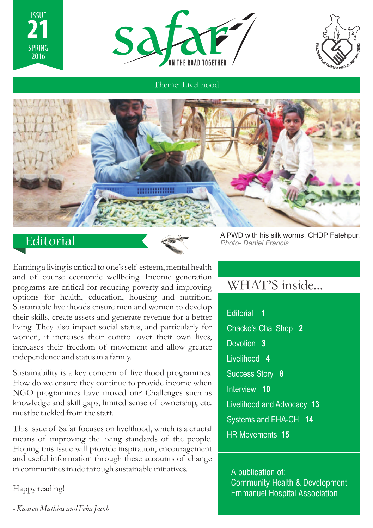





Theme: Livelihood



# **Editorial**



Earning a living is critical to one's self-esteem, mental health and of course economic wellbeing. Income generation programs are critical for reducing poverty and improving options for health, education, housing and nutrition. Sustainable livelihoods ensure men and women to develop their skills, create assets and generate revenue for a better living. They also impact social status, and particularly for women, it increases their control over their own lives, increases their freedom of movement and allow greater independence and status in a family.

Sustainability is a key concern of livelihood programmes. How do we ensure they continue to provide income when NGO programmes have moved on? Challenges such as knowledge and skill gaps, limited sense of ownership, etc. must be tackled from the start.

This issue of Safar focuses on livelihood, which is a crucial means of improving the living standards of the people. Hoping this issue will provide inspiration, encouragement and useful information through these accounts of change in communities made through sustainable initiatives.

Happy reading!

A PWD with his silk worms, CHDP Fatehpur. *Photo- Daniel Francis*

# WHAT'S inside...

Editorial **1** Chacko's Chai Shop **2** Devotion **3** Livelihood **4** Success Story **8** Interview **10** Livelihood and Advocacy **13** Systems and EHA-CH **14** HR Movements **15**

A publication of: Community Health & Development Emmanuel Hospital Association

*- Kaaren Mathias and Feba Jacob*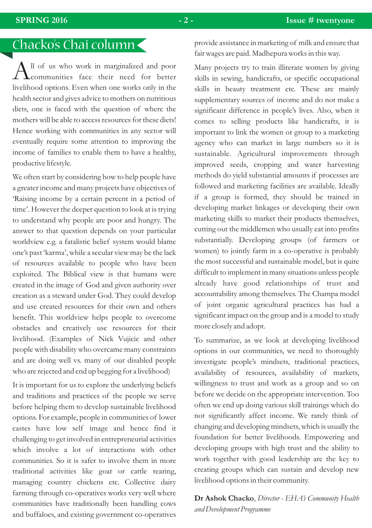# Chacko's Chai column

 $\bigwedge$ ll of us who work in marginalized and poor<br> $\bigwedge$ communities face their need for better livelihood options. Even when one works only in the health sector and gives advice to mothers on nutritious diets, one is faced with the question of where the mothers will be able to access resources for these diets! Hence working with communities in any sector will eventually require some attention to improving the income of families to enable them to have a healthy, productive lifestyle.

We often start by considering how to help people have a greater income and many projects have objectives of 'Raising income by a certain percent in a period of time'. However the deeper question to look at is trying to understand why people are poor and hungry. The answer to that question depends on your particular worldview e.g. a fatalistic belief system would blame one's past 'karma', while a secular view may be the lack of resources available to people who have been exploited. The Biblical view is that humans were created in the image of God and given authority over creation as a steward under God. They could develop and use created resources for their own and others benefit. This worldview helps people to overcome obstacles and creatively use resources for their livelihood. (Examples of Nick Vujicic and other people with disability who overcame many constraints and are doing well vs. many of our disabled people who are rejected and end up begging for a livelihood)

It is important for us to explore the underlying beliefs and traditions and practices of the people we serve before helping them to develop sustainable livelihood options. For example, people in communities of lower castes have low self image and hence find it challenging to get involved in entrepreneurial activities which involve a lot of interactions with other communities. So it is safer to involve them in more traditional activities like goat or cattle rearing, managing country chickens etc. Collective dairy farming through co-operatives works very well where communities have traditionally been handling cows and buffaloes, and existing government co-operatives provide assistance in marketing of milk and ensure that fair wages are paid. Madhepura works in this way.

Many projects try to train illiterate women by giving skills in sewing, handicrafts, or specific occupational skills in beauty treatment etc. These are mainly supplementary sources of income and do not make a significant difference in people's lives. Also, when it comes to selling products like handicrafts, it is important to link the women or group to a marketing agency who can market in large numbers so it is sustainable. Agricultural improvements through improved seeds, cropping and water harvesting methods do yield substantial amounts if processes are followed and marketing facilities are available. Ideally if a group is formed, they should be trained in developing market linkages or developing their own marketing skills to market their products themselves, cutting out the middlemen who usually eat into profits substantially. Developing groups (of farmers or women) to jointly farm in a co-operative is probably the most successful and sustainable model, but is quite difficult to implement in many situations unless people already have good relationships of trust and accountability among themselves. The Champa model of joint organic agricultural practices has had a significant impact on the group and is a model to study more closely and adopt.

To summarize, as we look at developing livelihood options in our communities, we need to thoroughly investigate people's mindsets, traditional practices, availability of resources, availability of markets, willingness to trust and work as a group and so on before we decide on the appropriate intervention. Too often we end up doing various skill trainings which do not significantly affect income. We rarely think of changing and developing mindsets, which is usually the foundation for better livelihoods. Empowering and developing groups with high trust and the ability to work together with good leadership are the key to creating groups which can sustain and develop new livelihood options in their community.

**Dr Ashok Chacko**, *Director - EHA's Community Health and Development Programme*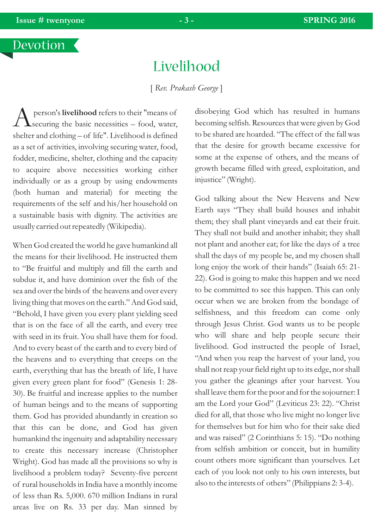# Livelihood

[ *Rev. Prakash George* ]

 $\bigwedge$  person's **livelihood** refers to their "means of  $\Omega$  securing the basic necessities – food, water, shelter and clothing – of life". Livelihood is defined as a set of activities, involving securing water, food, fodder, medicine, shelter, clothing and the capacity to acquire above necessities working either individually or as a group by using endowments (both human and material) for meeting the requirements of the self and his/her household on a sustainable basis with dignity. The activities are usually carried out repeatedly (Wikipedia).

When God created the world he gave humankind all the means for their livelihood. He instructed them to "Be fruitful and multiply and fill the earth and subdue it, and have dominion over the fish of the sea and over the birds of the heavens and over every living thing that moves on the earth." And God said, "Behold, I have given you every plant yielding seed that is on the face of all the earth, and every tree with seed in its fruit. You shall have them for food. And to every beast of the earth and to every bird of the heavens and to everything that creeps on the earth, everything that has the breath of life, I have given every green plant for food" (Genesis 1: 28- 30). Be fruitful and increase applies to the number of human beings and to the means of supporting them. God has provided abundantly in creation so that this can be done, and God has given humankind the ingenuity and adaptability necessary to create this necessary increase (Christopher Wright). God has made all the provisions so why is livelihood a problem today? Seventy-five percent of rural households in India have a monthly income of less than Rs. 5,000. 670 million Indians in rural areas live on Rs. 33 per day. Man sinned by

disobeying God which has resulted in humans becoming selfish. Resources that were given by God to be shared are hoarded. "The effect of the fall was that the desire for growth became excessive for some at the expense of others, and the means of growth became filled with greed, exploitation, and injustice" (Wright).

God talking about the New Heavens and New Earth says "They shall build houses and inhabit them; they shall plant vineyards and eat their fruit. They shall not build and another inhabit; they shall not plant and another eat; for like the days of a tree shall the days of my people be, and my chosen shall long enjoy the work of their hands" (Isaiah 65: 21- 22). God is going to make this happen and we need to be committed to see this happen. This can only occur when we are broken from the bondage of selfishness, and this freedom can come only through Jesus Christ. God wants us to be people who will share and help people secure their livelihood. God instructed the people of Israel, "And when you reap the harvest of your land, you shall not reap your field right up to its edge, nor shall you gather the gleanings after your harvest. You shall leave them for the poor and for the sojourner: I am the Lord your God" (Leviticus 23: 22). "Christ died for all, that those who live might no longer live for themselves but for him who for their sake died and was raised" (2 Corinthians 5: 15). "Do nothing from selfish ambition or conceit, but in humility count others more significant than yourselves. Let each of you look not only to his own interests, but also to the interests of others" (Philippians 2: 3-4).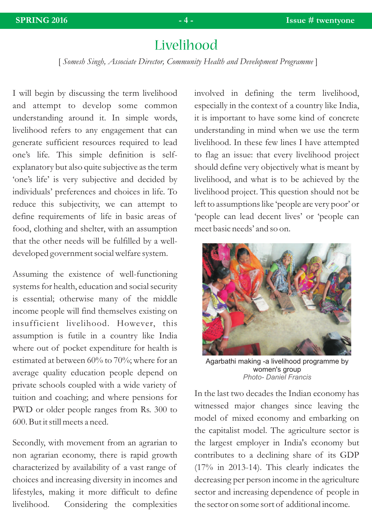# Livelihood

[ *Somesh Singh, Associate Director, Community Health and Development Programme* ]

I will begin by discussing the term livelihood and attempt to develop some common understanding around it. In simple words, livelihood refers to any engagement that can generate sufficient resources required to lead one's life. This simple definition is selfexplanatory but also quite subjective as the term 'one's life' is very subjective and decided by individuals' preferences and choices in life. To reduce this subjectivity, we can attempt to define requirements of life in basic areas of food, clothing and shelter, with an assumption that the other needs will be fulfilled by a welldeveloped government social welfare system.

Assuming the existence of well-functioning systems for health, education and social security is essential; otherwise many of the middle income people will find themselves existing on insufficient livelihood. However, this assumption is futile in a country like India where out of pocket expenditure for health is estimated at between 60% to 70%; where for an average quality education people depend on private schools coupled with a wide variety of tuition and coaching; and where pensions for PWD or older people ranges from Rs. 300 to 600. But it still meets a need.

Secondly, with movement from an agrarian to non agrarian economy, there is rapid growth characterized by availability of a vast range of choices and increasing diversity in incomes and lifestyles, making it more difficult to define livelihood. Considering the complexities involved in defining the term livelihood, especially in the context of a country like India, it is important to have some kind of concrete understanding in mind when we use the term livelihood. In these few lines I have attempted to flag an issue: that every livelihood project should define very objectively what is meant by livelihood, and what is to be achieved by the livelihood project. This question should not be left to assumptions like 'people are very poor' or 'people can lead decent lives' or 'people can meet basic needs' and so on.



Agarbathi making -a livelihood programme by women's group *Photo- Daniel Francis*

In the last two decades the Indian economy has witnessed major changes since leaving the model of mixed economy and embarking on the capitalist model. The agriculture sector is the largest employer in India's economy but contributes to a declining share of its GDP (17% in 2013-14). This clearly indicates the decreasing per person income in the agriculture sector and increasing dependence of people in the sector on some sort of additional income.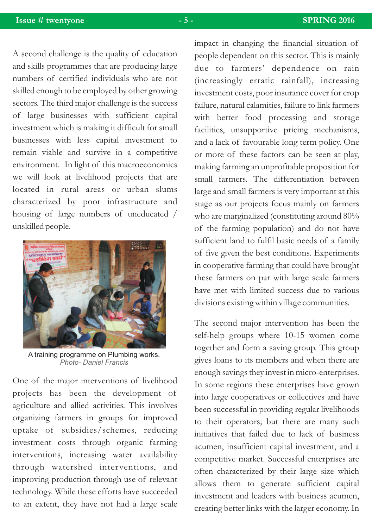A second challenge is the quality of education and skills programmes that are producing large numbers of certified individuals who are not skilled enough to be employed by other growing sectors. The third major challenge is the success of large businesses with sufficient capital investment which is making it difficult for small businesses with less capital investment to remain viable and survive in a competitive environment. In light of this macroeconomics we will look at livelihood projects that are located in rural areas or urban slums characterized by poor infrastructure and housing of large numbers of uneducated / unskilled people.



A training programme on Plumbing works. *Photo- Daniel Francis*

One of the major interventions of livelihood projects has been the development of agriculture and allied activities. This involves organizing farmers in groups for improved uptake of subsidies/schemes, reducing investment costs through organic farming interventions, increasing water availability through watershed interventions, and improving production through use of relevant technology. While these efforts have succeeded to an extent, they have not had a large scale

impact in changing the financial situation of people dependent on this sector. This is mainly due to farmers' dependence on rain (increasingly erratic rainfall), increasing investment costs, poor insurance cover for crop failure, natural calamities, failure to link farmers with better food processing and storage facilities, unsupportive pricing mechanisms, and a lack of favourable long term policy. One or more of these factors can be seen at play, making farming an unprofitable proposition for small farmers. The differentiation between large and small farmers is very important at this stage as our projects focus mainly on farmers who are marginalized (constituting around 80% of the farming population) and do not have sufficient land to fulfil basic needs of a family of five given the best conditions. Experiments in cooperative farming that could have brought these farmers on par with large scale farmers have met with limited success due to various divisions existing within village communities.

The second major intervention has been the self-help groups where 10-15 women come together and form a saving group. This group gives loans to its members and when there are enough savings they invest in micro-enterprises. In some regions these enterprises have grown into large cooperatives or collectives and have been successful in providing regular livelihoods to their operators; but there are many such initiatives that failed due to lack of business acumen, insufficient capital investment, and a competitive market. Successful enterprises are often characterized by their large size which allows them to generate sufficient capital investment and leaders with business acumen, creating better links with the larger economy. In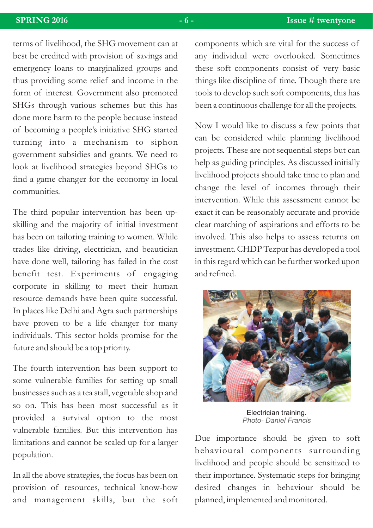terms of livelihood, the SHG movement can at best be credited with provision of savings and emergency loans to marginalized groups and thus providing some relief and income in the form of interest. Government also promoted SHGs through various schemes but this has done more harm to the people because instead of becoming a people's initiative SHG started turning into a mechanism to siphon government subsidies and grants. We need to look at livelihood strategies beyond SHGs to find a game changer for the economy in local communities.

The third popular intervention has been upskilling and the majority of initial investment has been on tailoring training to women. While trades like driving, electrician, and beautician have done well, tailoring has failed in the cost benefit test. Experiments of engaging corporate in skilling to meet their human resource demands have been quite successful. In places like Delhi and Agra such partnerships have proven to be a life changer for many individuals. This sector holds promise for the future and should be a top priority.

The fourth intervention has been support to some vulnerable families for setting up small businesses such as a tea stall, vegetable shop and so on. This has been most successful as it provided a survival option to the most vulnerable families. But this intervention has limitations and cannot be scaled up for a larger population.

In all the above strategies, the focus has been on provision of resources, technical know-how and management skills, but the soft components which are vital for the success of any individual were overlooked. Sometimes these soft components consist of very basic things like discipline of time. Though there are tools to develop such soft components, this has been a continuous challenge for all the projects.

Now I would like to discuss a few points that can be considered while planning livelihood projects. These are not sequential steps but can help as guiding principles. As discussed initially livelihood projects should take time to plan and change the level of incomes through their intervention. While this assessment cannot be exact it can be reasonably accurate and provide clear matching of aspirations and efforts to be involved. This also helps to assess returns on investment. CHDP Tezpur has developed a tool in this regard which can be further worked upon and refined.



Electrician training. *Photo- Daniel Francis*

Due importance should be given to soft behavioural components surrounding livelihood and people should be sensitized to their importance. Systematic steps for bringing desired changes in behaviour should be planned, implemented and monitored.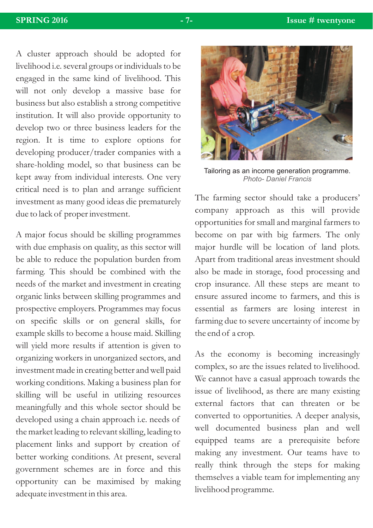A cluster approach should be adopted for livelihood i.e. several groups or individuals to be engaged in the same kind of livelihood. This will not only develop a massive base for business but also establish a strong competitive institution. It will also provide opportunity to develop two or three business leaders for the region. It is time to explore options for developing producer/trader companies with a share-holding model, so that business can be kept away from individual interests. One very critical need is to plan and arrange sufficient investment as many good ideas die prematurely due to lack of proper investment.

A major focus should be skilling programmes with due emphasis on quality, as this sector will be able to reduce the population burden from farming. This should be combined with the needs of the market and investment in creating organic links between skilling programmes and prospective employers. Programmes may focus on specific skills or on general skills, for example skills to become a house maid. Skilling will yield more results if attention is given to organizing workers in unorganized sectors, and investment made in creating better and well paid working conditions. Making a business plan for skilling will be useful in utilizing resources meaningfully and this whole sector should be developed using a chain approach i.e. needs of the market leading to relevant skilling, leading to placement links and support by creation of better working conditions. At present, several government schemes are in force and this opportunity can be maximised by making adequate investment in this area.



Tailoring as an income generation programme. *Photo- Daniel Francis*

The farming sector should take a producers' company approach as this will provide opportunities for small and marginal farmers to become on par with big farmers. The only major hurdle will be location of land plots. Apart from traditional areas investment should also be made in storage, food processing and crop insurance. All these steps are meant to ensure assured income to farmers, and this is essential as farmers are losing interest in farming due to severe uncertainty of income by the end of a crop.

As the economy is becoming increasingly complex, so are the issues related to livelihood. We cannot have a casual approach towards the issue of livelihood, as there are many existing external factors that can threaten or be converted to opportunities. A deeper analysis, well documented business plan and well equipped teams are a prerequisite before making any investment. Our teams have to really think through the steps for making themselves a viable team for implementing any livelihood programme.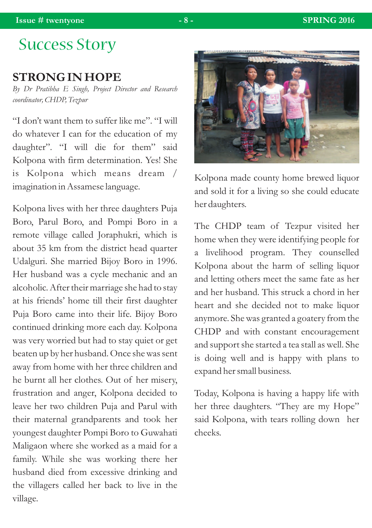# Success Story

### **STRONG IN HOPE**

*By Dr Pratibha E Singh, Project Director and Research coordinator, CHDP, Tezpur*

"I don't want them to suffer like me". "I will do whatever I can for the education of my daughter". "I will die for them" said Kolpona with firm determination. Yes! She is Kolpona which means dream / imagination in Assamese language.

Kolpona lives with her three daughters Puja Boro, Parul Boro, and Pompi Boro in a remote village called Joraphukri, which is about 35 km from the district head quarter Udalguri. She married Bijoy Boro in 1996. Her husband was a cycle mechanic and an alcoholic. After their marriage she had to stay at his friends' home till their first daughter Puja Boro came into their life. Bijoy Boro continued drinking more each day. Kolpona was very worried but had to stay quiet or get beaten up by her husband. Once she was sent away from home with her three children and he burnt all her clothes. Out of her misery, frustration and anger, Kolpona decided to leave her two children Puja and Parul with their maternal grandparents and took her youngest daughter Pompi Boro to Guwahati Maligaon where she worked as a maid for a family. While she was working there her husband died from excessive drinking and the villagers called her back to live in the village.



Kolpona made county home brewed liquor and sold it for a living so she could educate her daughters.

The CHDP team of Tezpur visited her home when they were identifying people for a livelihood program. They counselled Kolpona about the harm of selling liquor and letting others meet the same fate as her and her husband. This struck a chord in her heart and she decided not to make liquor anymore. She was granted a goatery from the CHDP and with constant encouragement and support she started a tea stall as well. She is doing well and is happy with plans to expand her small business.

Today, Kolpona is having a happy life with her three daughters. "They are my Hope" said Kolpona, with tears rolling down her cheeks.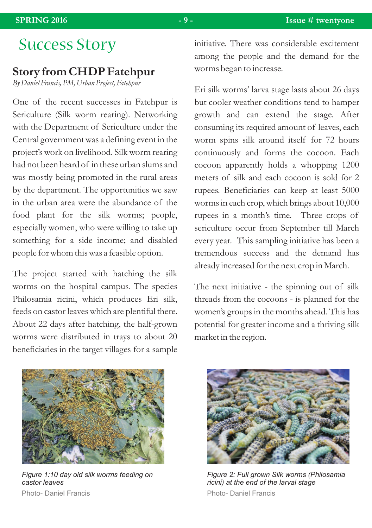### **Story from CHDP Fatehpur**

*By Daniel Francis, PM, Urban Project, Fatehpur*

One of the recent successes in Fatehpur is Sericulture (Silk worm rearing). Networking with the Department of Sericulture under the Central government was a defining event in the project's work on livelihood. Silk worm rearing had not been heard of in these urban slums and was mostly being promoted in the rural areas by the department. The opportunities we saw in the urban area were the abundance of the food plant for the silk worms; people, especially women, who were willing to take up something for a side income; and disabled people for whom this was a feasible option.

The project started with hatching the silk worms on the hospital campus. The species Philosamia ricini, which produces Eri silk, feeds on castor leaves which are plentiful there. About 22 days after hatching, the half-grown worms were distributed in trays to about 20 beneficiaries in the target villages for a sample

SUCCESS STOYY initiative. There was considerable excitement among the people and the demand for the worms began to increase.

> Eri silk worms' larva stage lasts about 26 days but cooler weather conditions tend to hamper growth and can extend the stage. After consuming its required amount of leaves, each worm spins silk around itself for 72 hours continuously and forms the cocoon. Each cocoon apparently holds a whopping 1200 meters of silk and each cocoon is sold for 2 rupees. Beneficiaries can keep at least 5000 worms in each crop, which brings about 10,000 rupees in a month's time. Three crops of sericulture occur from September till March every year. This sampling initiative has been a tremendous success and the demand has already increased for the next crop in March.

> The next initiative - the spinning out of silk threads from the cocoons - is planned for the women's groups in the months ahead. This has potential for greater income and a thriving silk market in the region.



*Figure 1:10 day old silk worms feeding on castor leaves* Photo- Daniel Francis



*Figure 2: Full grown Silk worms (Philosamia ricini) at the end of the larval stage* Photo- Daniel Francis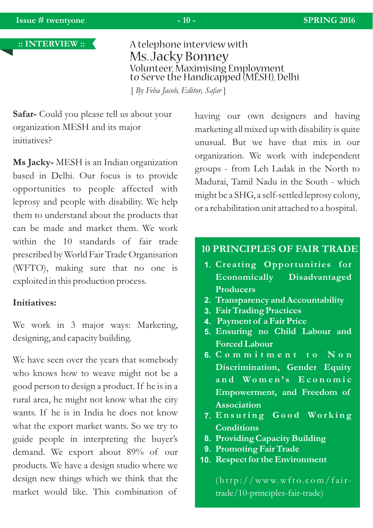

### Ms. Jacky Bonney A telephone interview with Volunteer, Maximising Employment to Serve the Handicapped (MESH), Delhi

[ *By Feba Jacob, Editor, Safar* ]

**Safar-** Could you please tell us about your organization MESH and its major initiatives?

**Ms Jacky-** MESH is an Indian organization based in Delhi. Our focus is to provide opportunities to people affected with leprosy and people with disability. We help them to understand about the products that can be made and market them. We work within the 10 standards of fair trade prescribed by World Fair Trade Organisation (WFTO), making sure that no one is exploited in this production process.

#### **Initiatives:**

We work in 3 major ways: Marketing, designing, and capacity building.

We have seen over the years that somebody who knows how to weave might not be a good person to design a product. If he is in a rural area, he might not know what the city wants. If he is in India he does not know what the export market wants. So we try to guide people in interpreting the buyer's demand. We export about 89% of our products. We have a design studio where we design new things which we think that the market would like. This combination of

having our own designers and having marketing all mixed up with disability is quite unusual. But we have that mix in our organization. We work with independent groups - from Leh Ladak in the North to Madurai, Tamil Nadu in the South - which might be a SHG, a self-settled leprosy colony, or a rehabilitation unit attached to a hospital.

#### **10 PRINCIPLES OF FAIR TRADE**

- **Creating Opportunities for 1. Economically Disadvantaged Producers**
- **Transparency and Accountability 2.**
- **Fair Trading Practices 3.**
- **Payment of a Fair Price 4.**
- **Ensuring no Child Labour and 5. Forced Labour**
- **C o m m i t m e n t t o N o n 6. Discrimination, Gender Equity**  $a \cdot \textbf{d}$  **Women's**  $\textbf{E} \cdot \textbf{c} \cdot \textbf{d}$  **o**  $\textbf{m} \cdot \textbf{c}$ **Empowerment, and Freedom of Association**
- **E n s u r i n g G o o d Wo r k i n g 7. Conditions**
- **Providing Capacity Building 8.**
- **Promoting Fair Trade 9.**
- **Respect for the Environment 10.**

 $(\text{http://www.wfto.com/fair-}$ trade/10-principles-fair-trade)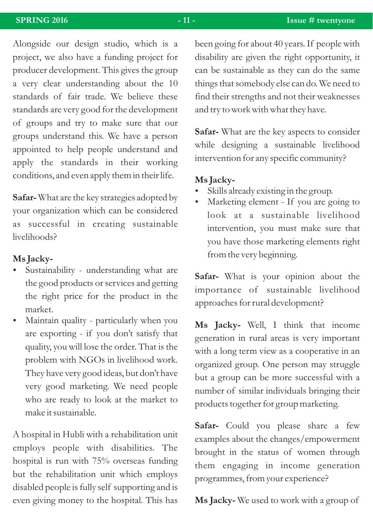Alongside our design studio, which is a project, we also have a funding project for producer development. This gives the group a very clear understanding about the 10 standards of fair trade. We believe these standards are very good for the development of groups and try to make sure that our groups understand this. We have a person appointed to help people understand and apply the standards in their working conditions, and even apply them in their life.

**Safar-** What are the key strategies adopted by your organization which can be considered as successful in creating sustainable livelihoods?

#### Ms **Jacky**-

- **Ms Jacky-**<br>• Sustainability understanding what are the good products or services and getting the right price for the product in the
- market.<br>• Maintain quality particularly when you are exporting - if you don't satisfy that quality, you will lose the order. That is the problem with NGOs in livelihood work. They have very good ideas, but don't have very good marketing. We need people who are ready to look at the market to make it sustainable.

A hospital in Hubli with a rehabilitation unit employs people with disabilities. The hospital is run with 75% overseas funding but the rehabilitation unit which employs disabled people is fully self supporting and is even giving money to the hospital. This has been going for about 40 years. If people with disability are given the right opportunity, it can be sustainable as they can do the same things that somebody else can do. We need to find their strengths and not their weaknesses and try to work with what they have.

**Safar-** What are the key aspects to consider while designing a sustainable livelihood intervention for any specific community?

#### Ms **Jacky**-

- Skills already existing in the group.
- ?Skills already existing in the group. Marketing element If you are going to look at a sustainable livelihood intervention, you must make sure that you have those marketing elements right from the very beginning.

**Safar-** What is your opinion about the importance of sustainable livelihood approaches for rural development?

**Ms Jacky-** Well, I think that income generation in rural areas is very important with a long term view as a cooperative in an organized group. One person may struggle but a group can be more successful with a number of similar individuals bringing their products together for group marketing.

**Safar-** Could you please share a few examples about the changes/empowerment brought in the status of women through them engaging in income generation programmes, from your experience?

**Ms Jacky-** We used to work with a group of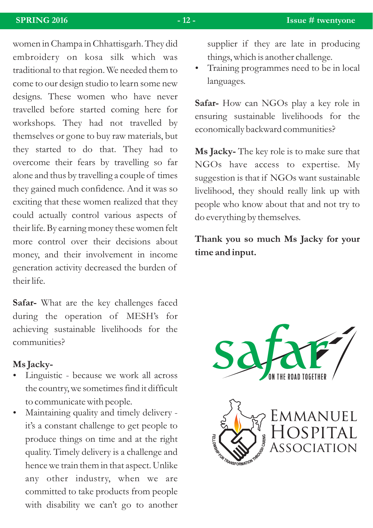women in Champa in Chhattisgarh. They did embroidery on kosa silk which was traditional to that region. We needed them to come to our design studio to learn some new designs. These women who have never travelled before started coming here for workshops. They had not travelled by themselves or gone to buy raw materials, but they started to do that. They had to overcome their fears by travelling so far alone and thus by travelling a couple of times they gained much confidence. And it was so exciting that these women realized that they could actually control various aspects of their life. By earning money these women felt more control over their decisions about money, and their involvement in income generation activity decreased the burden of their life.

**Safar-** What are the key challenges faced during the operation of MESH's for achieving sustainable livelihoods for the communities?

#### ?**Ms Jacky-**

- Linguistic because we work all across the country, we sometimes find it difficult
- ?to communicate with people. Maintaining quality and timely delivery it's a constant challenge to get people to produce things on time and at the right quality. Timely delivery is a challenge and hence we train them in that aspect. Unlike any other industry, when we are committed to take products from people with disability we can't go to another

supplier if they are late in producing

languages.

**Safar-** How can NGOs play a key role in ensuring sustainable livelihoods for the economically backward communities?

**Ms Jacky-** The key role is to make sure that NGOs have access to expertise. My suggestion is that if NGOs want sustainable livelihood, they should really link up with people who know about that and not try to do everything by themselves.

**Thank you so much Ms Jacky for your time and input.**



Hospital Association

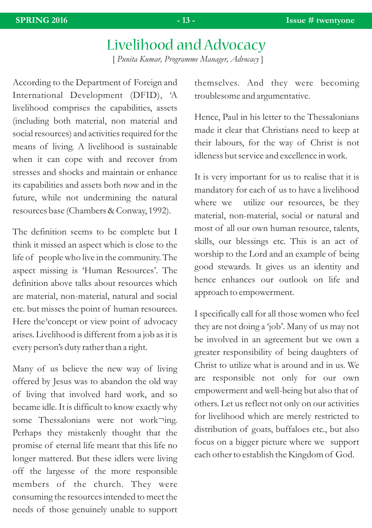# Livelihood and Advocacy

[ *Punita Kumar, Programme Manager, Advocacy* ]

According to the Department of Foreign and International Development (DFID), 'A livelihood comprises the capabilities, assets (including both material, non material and social resources) and activities required for the means of living. A livelihood is sustainable when it can cope with and recover from stresses and shocks and maintain or enhance its capabilities and assets both now and in the future, while not undermining the natural resources base (Chambers & Conway, 1992).

The definition seems to be complete but I think it missed an aspect which is close to the life of people who live in the community. The aspect missing is 'Human Resources'. The definition above talks about resources which are material, non-material, natural and social etc. but misses the point of human resources. Here the concept or view point of advocacy arises. Livelihood is different from a job as it is every person's duty rather than a right.

Many of us believe the new way of living offered by Jesus was to abandon the old way of living that involved hard work, and so became idle. It is difficult to know exactly why some Thessalonians were not work¬ing. Perhaps they mistakenly thought that the promise of eternal life meant that this life no longer mattered. But these idlers were living off the largesse of the more responsible members of the church. They were consuming the resources intended to meet the needs of those genuinely unable to support themselves. And they were becoming troublesome and argumentative.

Hence, Paul in his letter to the Thessalonians made it clear that Christians need to keep at their labours, for the way of Christ is not idleness but service and excellence in work.

It is very important for us to realise that it is mandatory for each of us to have a livelihood where we utilize our resources, be they material, non-material, social or natural and most of all our own human resource, talents, skills, our blessings etc. This is an act of worship to the Lord and an example of being good stewards. It gives us an identity and hence enhances our outlook on life and approach to empowerment.

I specifically call for all those women who feel they are not doing a 'job'. Many of us may not be involved in an agreement but we own a greater responsibility of being daughters of Christ to utilize what is around and in us. We are responsible not only for our own empowerment and well-being but also that of others. Let us reflect not only on our activities for livelihood which are merely restricted to distribution of goats, buffaloes etc., but also focus on a bigger picture where we support each other to establish the Kingdom of God.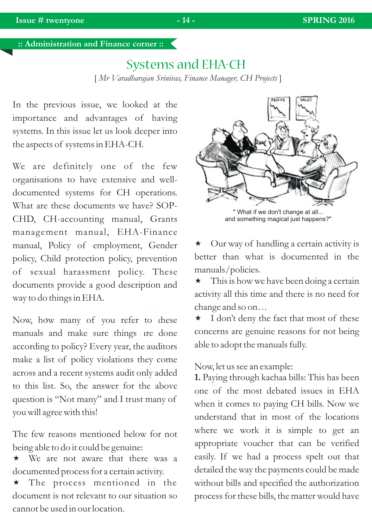**:: Administration and Finance corner ::** 

### Systems and EHA-CH

[ *Mr Varadharajan Srinivas, Finance Manager, CH Projects* ]

In the previous issue, we looked at the importance and advantages of having systems. In this issue let us look deeper into the aspects of systems in EHA-CH.

We are definitely one of the few organisations to have extensive and welldocumented systems for CH operations. What are these documents we have? SOP-CHD, CH-accounting manual, Grants management manual, EHA-Finance manual, Policy of employment, Gender policy, Child protection policy, prevention of sexual harassment policy. These documents provide a good description and way to do things in EHA.

Now, how many of you refer to these 1 manuals and make sure things are done according to policy? Every year, the auditors make a list of policy violations they come across and a recent systems audit only added to this list. So, the answer for the above question is "Not many" and I trust many of you will agree with this!

The few reasons mentioned below for not being able to do it could be genuine:

 $\star$  We are not aware that there was a documented process for a certain activity.

\* The process mentioned in the document is not relevant to our situation so cannot be used in our location.



What if we don't change at all... and something magical just happens?"

 $\star$  Our way of handling a certain activity is better than what is documented in the manuals/policies.

 $\star$  This is how we have been doing a certain activity all this time and there is no need for c hange and so on…

\* I don't deny the fact that most of these concerns are genuine reasons for not being able to adopt the manuals fully.

Now, let us see an example:

**1.** Paying through kachaa bills: This has been one of the most debated issues in EHA when it comes to paying CH bills. Now we understand that in most of the locations where we work it is simple to get an appropriate voucher that can be verified easily. If we had a process spelt out that detailed the way the payments could be made without bills and specified the authorization process for these bills, the matter would have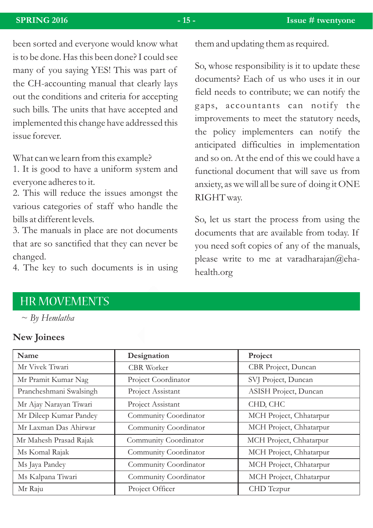been sorted and everyone would know what is to be done. Has this been done? I could see many of you saying YES! This was part of the CH-accounting manual that clearly lays out the conditions and criteria for accepting such bills. The units that have accepted and implemented this change have addressed this issue forever.

What can we learn from this example?

1. It is good to have a uniform system and everyone adheres to it.

2. This will reduce the issues amongst the various categories of staff who handle the bills at different levels.

3. The manuals in place are not documents that are so sanctified that they can never be changed.

4. The key to such documents is in using

them and updating them as required.

So, whose responsibility is it to update these documents? Each of us who uses it in our field needs to contribute; we can notify the gaps, accountants can notify the improvements to meet the statutory needs, the policy implementers can notify the anticipated difficulties in implementation and so on. At the end of this we could have a functional document that will save us from anxiety, as we will all be sure of doing it ONE RIGHT way.

So, let us start the process from using the documents that are available from today. If you need soft copies of any of the manuals, please write to me at varadharajan@ehahealth.org

### HR MOVEMENTS

#### *~ By Hemlatha*

#### **New Joinees**

| Name                    | Designation           | Project                 |
|-------------------------|-----------------------|-------------------------|
| Mr Vivek Tiwari         | <b>CBR</b> Worker     | CBR Project, Duncan     |
| Mr Pramit Kumar Nag     | Project Coordinator   | SVJ Project, Duncan     |
| Prancheshmani Swalsingh | Project Assistant     | ASISH Project, Duncan   |
| Mr Ajay Narayan Tiwari  | Project Assistant     | CHD, CHC                |
| Mr Dileep Kumar Pandey  | Community Coordinator | MCH Project, Chhatarpur |
| Mr Laxman Das Ahirwar   | Community Coordinator | MCH Project, Chhatarpur |
| Mr Mahesh Prasad Rajak  | Community Coordinator | MCH Project, Chhatarpur |
| Ms Komal Rajak          | Community Coordinator | MCH Project, Chhatarpur |
| Ms Jaya Pandey          | Community Coordinator | MCH Project, Chhatarpur |
| Ms Kalpana Tiwari       | Community Coordinator | MCH Project, Chhatarpur |
| Mr Raju                 | Project Officer       | CHD Tezpur              |